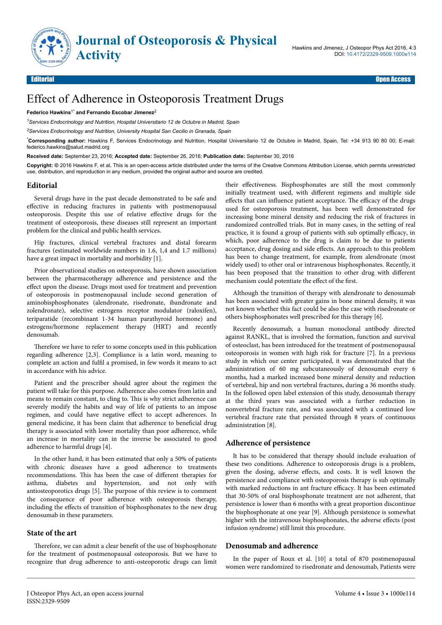

# Effect of Adherence in Osteoporosis Treatment Drugs

### **Federico Hawkins**1\* **and Fernando Escobar Jimenez**<sup>2</sup>

*<sup>1</sup>Services Endocrinology and Nutrition, Hospital Universitario 12 de Octubre in Madrid, Spain*

*<sup>2</sup>Services Endocrinology and Nutrition, University Hospital San Cecilio in Granada, Spain*

\***Corresponding author:** Hawkins F, Services Endocrinology and Nutrition, Hospital Universitario 12 de Octubre in Madrid, Spain, Tel: +34 913 90 80 00; E-mail: federico.hawkins@salud.madrid.org

**Received date:** September 23, 2016; **Accepted date:** September 26, 2016; **Publication date:** September 30, 2016

**Copyright: ©** 2016 Hawkins F, et al**.** This is an open-access article distributed under the terms of the Creative Commons Attribution License, which permits unrestricted use, distribution, and reproduction in any medium, provided the original author and source are credited.

#### **Editorial**

Several drugs have in the past decade demonstrated to be safe and effective in reducing fractures in patients with postmenopausal osteoporosis. Despite this use of relative effective drugs for the treatment of osteoporosis, these diseases still represent an important problem for the clinical and public health services.

Hip fractures, clinical vertebral fractures and distal forearm fractures (estimated worldwide numbers in 1.6, 1,4 and 1.7 millions) have a great impact in mortality and morbidity [1].

Prior observational studies on osteoporosis, have shown association between the pharmacotherapy adherence and persistence and the effect upon the disease. Drugs most used for treatment and prevention of osteoporosis in postmenopausal include second generation of aminobisphosphonates (alendronate, risedronate, ibandronate and zolendronate), selective estrogens receptor modulator (raloxifen), teriparatide (recombinant 1-34 human parathyroid hormone) and estrogens/hormone replacement therapy (HRT) and recently denosumab.

Therefore we have to refer to some concepts used in this publication regarding adherence [2,3]. Compliance is a latin word, meaning to complete an action and fulfil a promised, in few words it means to act in accordance with his advice.

Patient and the prescriber should agree about the regimen the patient will take for this purpose. Adherence also comes from latin and means to remain constant, to cling to. This is why strict adherence can severely modify the habits and way of life of patients to an impose regimen, and could have negative effect to accept adherences. In general medicine, it has been claim that adherence to beneficial drug therapy is associated with lower mortality than poor adherence, while an increase in mortality can in the inverse be associated to good adherence to harmful drugs [4].

In the other hand, it has been estimated that only a 50% of patients with chronic diseases have a good adherence to treatments recommendations. This has been the case of different therapies for asthma, diabetes and hypertension, and not only with antiosteoporotics drugs [5]. Нe purpose of this review is to comment the consequence of poor adherence with osteoporosis therapy, including the effects of transition of bisphosphonates to the new drug denosumab in these parameters.

### **State of the art**

Therefore, we can admit a clear benefit of the use of bisphosphonate for the treatment of postmenopausal osteoporosis. But we have to recognize that drug adherence to anti-osteoporotic drugs can limit their effectiveness. Bisphosphonates are still the most commonly initially treatment used, with different regimens and multiple side effects that can influence patient acceptance. The efficacy of the drugs used for osteoporosis treatment, has been well demonstrated for increasing bone mineral density and reducing the risk of fractures in randomized controlled trials. But in many cases, in the setting of real practice, it is found a group of patients with sub optimally efficacy, in which, poor adherence to the drug is claim to be due to patients acceptance, drug dosing and side effects. An approach to this problem has been to change treatment, for example, from alendronate (most widely used) to other oral or intravenous bisphosphonates. Recently, it has been proposed that the transition to other drug with different mechanism could potentiate the effect of the first.

Although the transition of therapy with alendronate to denosumab has been associated with greater gains in bone mineral density, it was not known whether this fact could be also the case with risedronate or others bisphosphonates well prescribed for this therapy [6].

Recently denosumab, a human monoclonal antibody directed against RANKL, that is involved the formation, function and survival of osteoclast, has been introduced for the treatment of postmenopausal osteoporosis in women with high risk for fracture [7]. In a previous study in which our center participated, it was demonstrated that the administration of 60 mg subcutaneously of denosumab every 6 months, had a marked increased bone mineral density and reduction of vertebral, hip and non vertebral fractures, during a 36 months study. In the followed open label extension of this study, denosumab therapy at the third years was associated with a further reduction in nonvertebral fracture rate, and was associated with a continued low vertebral fracture rate that persisted through 8 years of continuous administration [8].

### **Adherence of persistence**

It has to be considered that therapy should include evaluation of these two conditions. Adherence to osteoporosis drugs is a problem, given the dosing, adverse effects, and costs. It is well known the persistence and compliance with osteoporosis therapy is sub optimally with marked reductions in ant fracture efficacy. It has been estimated that 30-50% of oral bisphosphonate treatment are not adherent, that persistence is lower than 6 months with a great proportion discontinue the bisphosphonate at one year [9]. Although persistence is somewhat higher with the intravenous bisphosphonates, the adverse effects (post infusion syndrome) still limit this procedure.

#### **Denosumab and adherence**

In the paper of Roux et al. [10] a total of 870 postmenopausal women were randomized to risedronate and denosumab, Patients were